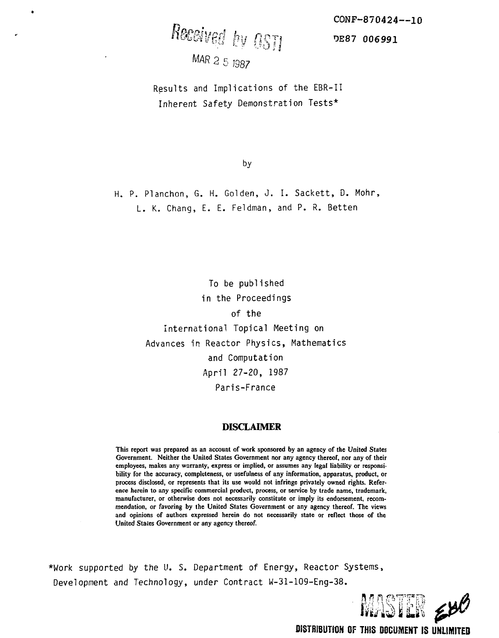CONF-870424—10

DE87 *006991*

Received by OSTI

*MAR* 2 5 1987

Results and Implications of the EBR-II Inherent Safety Demonstration Tests\*

bv

H. P. Planchon, G. H. Golden, J. I. Sackett, D. Mohr, L. K. Chang, E. E. Feldman, and P. R. Betten

> To be published in the Proceedings of the International Topical Meeting on Advances in Reactor Physics, Mathematics and Computation April 27-20, 1987 Paris-France

#### **DISCLAIMER**

**This report was prepared as an account of work sponsored by an agency of the United States Government. Neither the United States Government nor any agency thereof, nor any of their employees, makes any warranty, express or implied, or assumes any legal liability or responsibility for the accuracy, completeness, or usefulness of any information, apparatus, product, or process disclosed, or represents that its use would not infringe privately owned rights. Reference herein to any specific commercial product, process, or service by trade name, trademark, manufacturer, or otherwise does not necessarily constitute or imply its endorsement, recommendation, or favoring by the United States Government or any agency thereof. The views and opinions of authors expressed herein do not necessarily state or reflect those of the United Staies Government or any agency thereof.**

\*Work supported by the U. S. Department of Energy, Reactor Systems, Development and Technology, under Contract W-31-109-Eng-38.



**DISTRIBUTION OF THIS DOCUMENT IS UNLIMITED**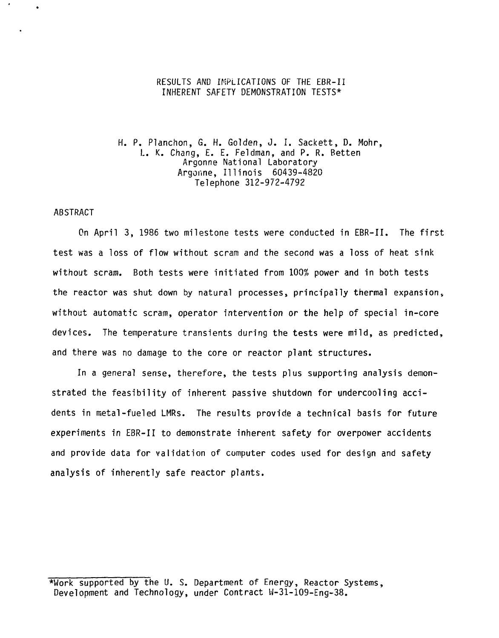### RESULTS AND IMPLICATIONS OF THE EBR-II INHERENT SAFETY DEMONSTRATION TESTS\*

H. P. Planchon, G. H. Golden, J. I. Sackett, D. Mohr, I.. K. Chang, E. E. Feldman, and P. R. Betten Argonne National Laboratory Argonne, Illinois 60439-4820 Telephone 312-972-4792

#### ABSTRACT

On April 3, 1986 two milestone tests were conducted in EBR-II. The first test was a loss of flow without scram and the second was a loss of heat sink without scram. Both tests were initiated from 100% power and in both tests the reactor was shut down by natural processes, principally thermal expansion, without automatic scram, operator intervention or the help of special in-core devices. The temperature transients during the tests were mild, as predicted, and there was no damage to the core or reactor plant structures.

In a general sense, therefore, the tests plus supporting analysis demonstrated the feasibility of inherent passive shutdown for undercooling accidents in metal-fueled LMRs. The results provide a technical basis for future experiments in EBR-II to demonstrate inherent safety for overpower accidents and provide data for validation of computer codes used for design and safety analysis of inherently safe reactor plants.

<sup>\*</sup>Work supported by the U. S. Department of Energy, Reactor Systems, Development and Technology, under Contract W-31-109-Eng-38.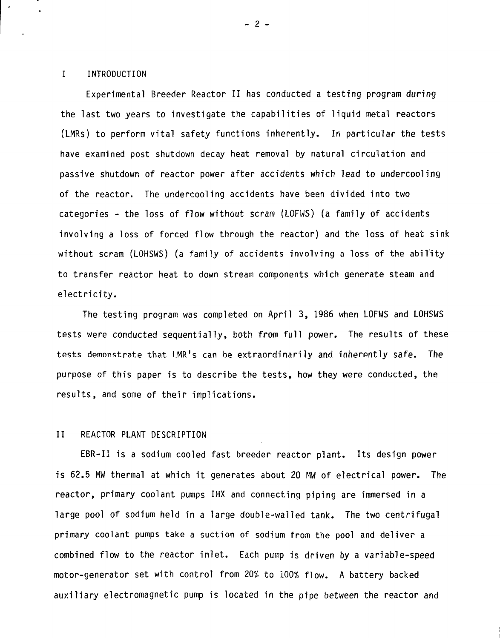#### I INTRODUCTION

Experimental Breeder Reactor II has conducted a testing program during the last two years to investigate the capabilities of liquid metal reactors (LMRs) to perform vital safety functions inherently. In particular the tests have examined post shutdown decay heat removal by natural circulation and passive shutdown of reactor power after accidents which lead to undercooling of the reactor. The undercooling accidents have been divided into two categories - the loss of flow without scram (LOFWS) (a family of accidents involving a loss of forced flow through the reactor) and the loss of heat sink without scram (LOHSWS) (a family of accidents involving a loss of the ability to transfer reactor heat to down stream components which generate steam and electricity.

The testing program was completed on April 3, 1986 when LOFWS and LOHSWS tests were conducted sequentially, both from full power. The results of these tests demonstrate that LMR's can be extraordinarily and inherently safe. The purpose of this paper is to describe the tests, how they were conducted, the results, and some of their implications.

#### II REACTOR PLANT DESCRIPTION

EBR-II is a sodium cooled fast breeder reactor plant. Its design power is 62.5 MW thermal at which it generates about 20 MW of electrical power. The reactor, primary coolant pumps IHX and connecting piping are immersed in a large pool of sodium held in a large double-walled tank. The two centrifugal primary coolant pumps take a suction of sodium from the pool and deliver a combined flow to the reactor inlet. Each pump is driven by a variable-speed motor-generator set with control from 20% to 100% flow. A battery backed auxiliary electromagnetic pump is located in the pipe between the reactor and

 $- 2 -$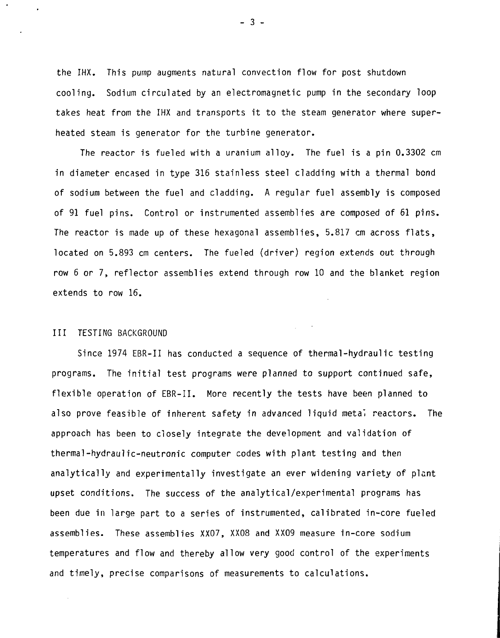the IHX. This pump augments natural convection flow for post shutdown cooling. Sodium circulated by an electromagnetic pump in the secondary loop takes heat from the IHX and transports it to the steam generator where superheated steam is generator for the turbine generator.

The reactor is fueled with a uranium alloy. The fuel is a pin 0.3302 cm in diameter encased in type 316 stainless steel cladding with a thermal bond of sodium between the fuel and cladding. A regular fuel assembly is composed of 91 fuel pins. Control or instrumented assemblies are composed of 61 pins. The reactor is made up of these hexagonal assemblies, 5.817 cm across flats, located on 5.893 cm centers. The fueled (driver) region extends out through row 6 or 7, reflector assemblies extend through row 10 and the blanket region extends to row 16.

#### Ill TESTING BACKGROUND

 $\mathcal{L}_{\mathrm{in}}$ 

Since 1974 EBR-II has conducted a sequence of thermal-hydraulic testing programs. The initial test programs were planned to support continued safe, flexible operation of EBR-II. More recently the tests have been planned to also prove feasible of inherent safety in advanced liquid metal reactors. The approach has been to closely integrate the development and validation of thermal-hydraulic-neutronic computer codes with plant testing and then analytically and experimentally investigate an ever widening variety of plant upset conditions, The success of the analytical/experimental programs has been due in large part to a series of instrumented, calibrated in-core fueled assemblies. These assemblies XX07, XX08 and XX09 measure in-core sodium temperatures and flow and thereby allow very good control of the experiments and timely, precise comparisons of measurements to calculations.

 $-3 -$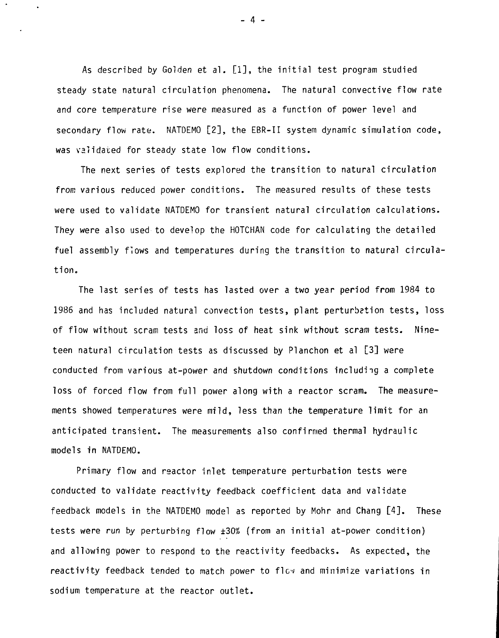As described by Golden et al. [1], the initial test program studied steady state natural circulation phenomena. The natural convective flow rate and core temperature rise were measured as a function of power level and secondary flow rate. NATDEMO [2], the EBR-II system dynamic simulation code, was validated for steady state low flow conditions.

The next series of tests explored the transition to natural circulation from various reduced power conditions. The measured results of these tests were used to validate NATDEMO for transient natural circulation calculations. They were also used to develop the HOTCHAN code for calculating the detailed fuel assembly flows and temperatures during the transition to natural circulation.

The last series of tests has lasted over a two year period from 1984 to 1986 and has included natural convection tests, plant perturbetion tests, loss of flow without scram tests and loss of heat sink without scram tests. Nineteen natural circulation tests as discussed by Planchon et al [3] were conducted from various at-power and shutdown conditions including a complete loss of forced flow from full power along with a reactor scram. The measurements showed temperatures were mild, less than the temperature limit for an anticipated transient. The measurements also confirmed thermal hydraulic models in NATDEMO.

Primary flow and reactor inlet temperature perturbation tests were conducted to validate reactivity feedback coefficient data and validate feedback models in the NATDEMO model as reported by Mohr and Chang [4]. These tests were run by perturbing flow ±30% {from an initial at-power condition) and allowing power to respond to the reactivity feedbacks. As expected, the reactivity feedback tended to match power to flow and minimize variations in sodium temperature at the reactor outlet.

- 4 -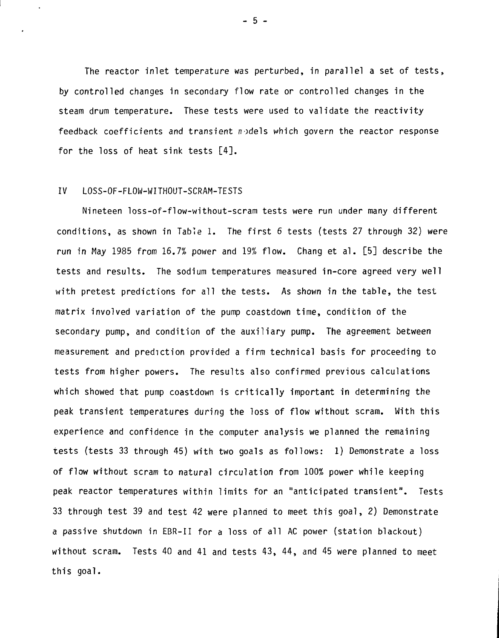The reactor inlet temperature was perturbed, in parallel a set of tests, by controlled changes in secondary flow rate or controlled changes in the steam drum temperature. These tests were used to validate the reactivity feedback coefficients and transient  $n$ -dels which govern the reactor response for the loss of heat sink tests [4].

#### IV LOSS-OF-FLOW-WITHOUT-SCRAM-TESTS

Nineteen loss-of-flow-without-scram tests were run under many different conditions, as shown in Table 1. The first 6 tests (tests 27 through 32) were run in May 1985 from 16.7% power and 19% flow. Chang et al. [5] describe the tests and results. The sodium temperatures measured in-core agreed very well with pretest predictions for all the tests. As shown in the table, the test matrix involved variation of the pump coastdown time, condition of the secondary pump, and condition of the auxiliary pump. The agreement between measurement and prediction provided a firm technical basis for proceeding to tests from higher powers. The results also confirmed previous calculations which showed that pump coastdown is critically important in determining the peak transient temperatures during the loss of flow without scram. With this experience and confidence in the computer analysis we planned the remaining tests (tests 33 through 45) with two goals as follows: 1) Demonstrate a loss of flow without scram to natural circulation from 100% power while keeping peak reactor temperatures within limits for an "anticipated transient". Tests 33 through test 39 and test 42 were planned to meet this goal, 2) Demonstrate a passive shutdown in EBR-II for a loss of all AC power (station blackout) without scram. Tests 40 and 41 and tests 43, 44, and 45 were planned to meet this goal.

- 5 -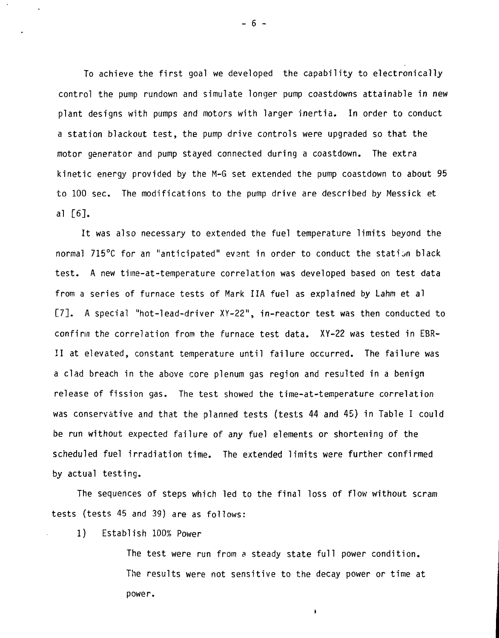To achieve the first goal we developed the capability to electronically control the pump rundown and simulate longer pump coastdowns attainable in new plant designs with pumps and motors with larger inertia. In order to conduct a station blackout test, the pump drive controls were upgraded so that the motor generator and pump stayed connected during a coastdown. The extra kinetic energy provided by the M-G set extended the pump coastdown to about 95 to 100 sec. The modifications to the pump drive are described by Messick et al [6].

It was also necessary to extended the fuel temperature limits beyond the normal 715°C for an "anticipated" evant in order to conduct the station black test. A new time-at-temperature correlation was developed based on test data from a series of furnace tests of Mark IIA fuel as explained by Lahm et al [7]. A special "hot-lead-driver XY-22", in-reactor test was then conducted to confirm the correlation from the furnace test data. XY-22 was tested in EBR-II at elevated, constant temperature until failure occurred. The failure was a clad breach in the above core plenum gas region and resulted in a benign release of fission gas. The test showed the time-at-temperature correlation was conservative and that the planned tests (tests 44 and 45) in Table I could be run without expected failure of any fuel elements or shortening of the scheduled fuel irradiation time. The extended limits were further confirmed by actual testing.

The sequences of steps which led to the final loss of flow without scram tests (tests 45 and 39) are as follows:

## 1) Establish 100% Power

The test were run from a steady state full power condition. The results were not sensitive to the decay power or time at power.

 $\mathbf{r}$ 

 $- 6 -$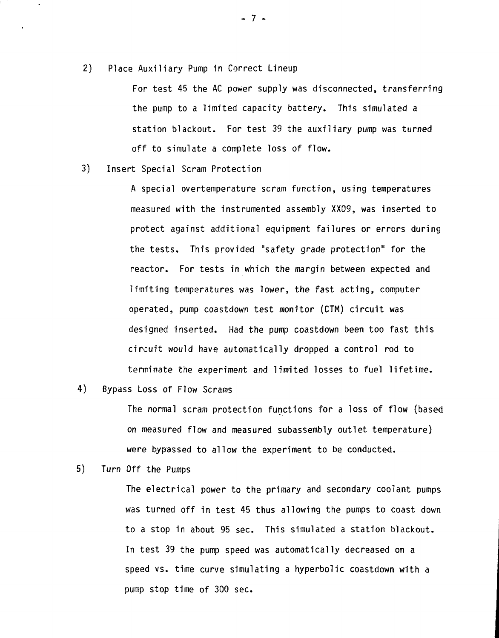2) Place Auxiliary Pump in Correct Lineup

 $\ddot{\phantom{0}}$ 

For test 45 the AC power supply was disconnected, transferring the pump to a limited capacity battery. This simulated a station blackout. For test 39 the auxiliary pump was turned off to simulate a complete loss of flow.

3) Insert Special Scram Protection

A special overtemperature scram function, using temperatures measured with the instrumented assembly XX09, was inserted to protect against additional equipment failures or errors during the tests. This provided "safety grade protection" for the reactor. For tests in which the margin between expected and limiting temperatures was lower, the fast acting, computer operated, pump coastdown test monitor (CTM) circuit was designed inserted. Had the pump coastdown been too fast this circuit would have automatically dropped a control rod to terminate the experiment and limited losses to fuel lifetime.

4) Bypass Loss of Flow Scrams

The normal scram protection functions for a loss of flow (based on measured flow and measured subassembly outlet temperature) were bypassed to allow the experiment to be conducted.

5) Turn Off the Pumps

The electrical power to the primary and secondary coolant pumps was turned off in test 45 thus allowing the pumps to coast down to a stop in about 95 sec. This simulated a station blackout. In test 39 the pump speed was automatically decreased on a speed vs. time curve simulating a hyperbolic coastdown with a pump stop time of 300 sec.

- 7 -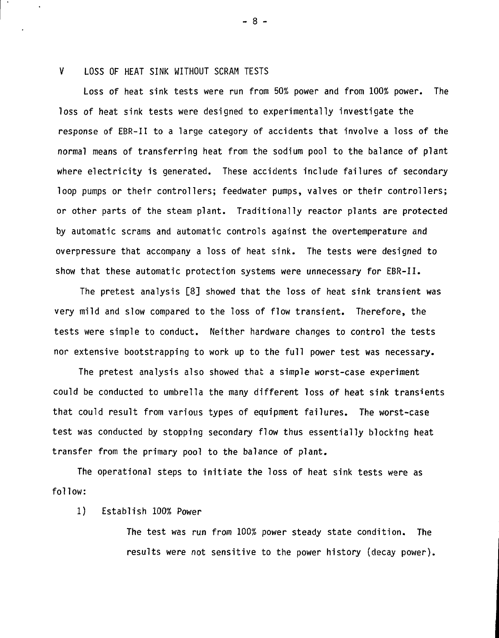### V LOSS OF HEAT SINK WITHOUT SCRAM TESTS

Loss of heat sink tests were run from 50% power and from 100% power. The loss of heat sink tests were designed to experimentally investigate the response of EBR-II to a large category of accidents that involve a loss of the normal means of transferring heat from the sodium pool to the balance of plant where electricity is generated. These accidents include failures of secondary loop pumps or their controllers; feedwater pumps, valves or their controllers; or other parts of the steam plant. Traditionally reactor plants are protected by automatic scrams and automatic controls against the overtemperature and overpressure that accompany a loss of heat sink. The tests were designed to show that these automatic protection systems were unnecessary for EBR-II.

The pretest analysis [8] showed that the loss of heat sink transient was very mild and slow compared to the loss of flow transient. Therefore, the tests were simple to conduct. Neither hardware changes to control the tests nor extensive bootstrapping to work up to the full power test was necessary.

The pretest analysis also showed that a simple worst-case experiment could be conducted to umbrella the many different loss of heat sink transients that could result from various types of equipment failures. The worst-case test was conducted by stopping secondary flow thus essentially blocking heat transfer from the primary pool to the balance of plant.

The operational steps to initiate the loss of heat sink tests were as follow:

### 1) Establish 100% Power

The test was run from 100% power steady state condition. The results were not sensitive to the power history (decay power).

- 8 -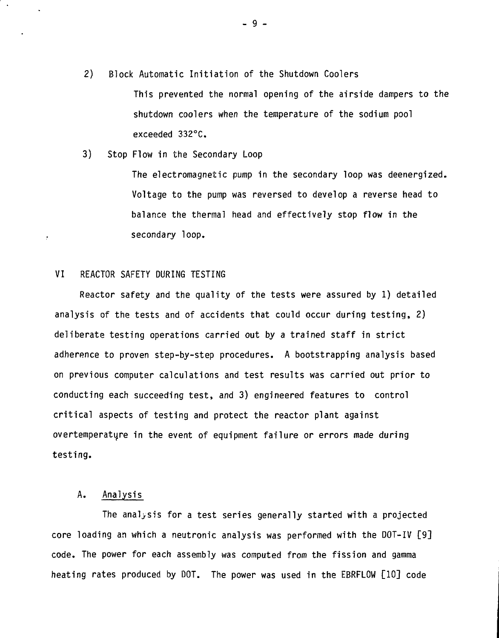2) Block Automatic Initiation of the Shutdown Coolers

This prevented the normal opening of the airside dampers to the shutdown coolers when the temperature of the sodium pool exceeded 332°C.

3) Stop Flow in the Secondary Loop

The electromagnetic pump in the secondary loop was deenergized. Voltage to the pump was reversed to develop a reverse head to balance the thermal head and effectively stop flow in the secondary loop,

## VI REACTOR SAFETY DURING TESTING

 $\boldsymbol{r}$ 

Reactor safety and the quality of the tests were assured by 1) detailed analysis of the tests and of accidents that could occur during testing, 2) deliberate testing operations carried out by a trained staff in strict adherence to proven step-by-step procedures. A bootstrapping analysis based on previous computer calculations and test results was carried out prior to conducting each succeeding test, and 3) engineered features to control critical aspects of testing and protect the reactor plant against overtemperature in the event of equipment failure or errors made during testing.

# A. Analysis

The analysis for a test series generally started with a projected core loading an which a neutronic analysis was performed with the DOT-IV [9] code. The power for each assembly was computed from the fission and gamma heating rates produced by DOT. The power was used in the EBRFLOW [10] code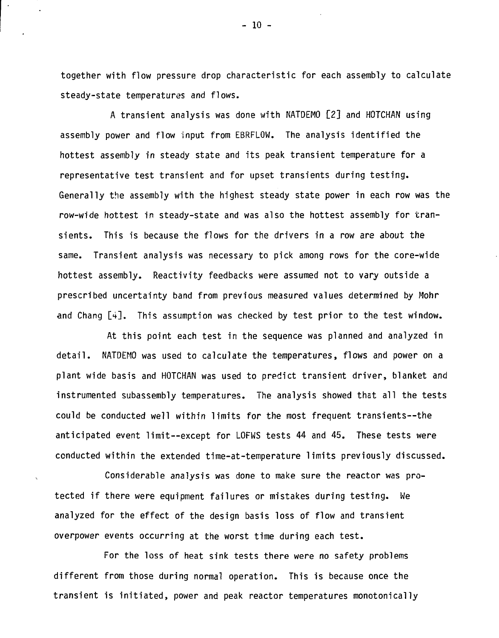together with flow pressure drop characteristic for each assembly to calculate steady-state temperatures and flows.

A transient analysis was done with NATDEMO [2] and HOTCHAN using assembly power and flow input from EBRFLOW. The analysis identified the hottest assembly in steady state and its peak transient temperature for a representative test transient and for upset transients during testing. Generally the assembly with the highest steady state power in each row was the row-wide hottest in steady-state and was also the hottest assembly for transients. This is because the flows for the drivers in a row are about the same. Transient analysis was necessary to pick among rows for the core-wide hottest assembly. Reactivity feedbacks were assumed not to vary outside a prescribed uncertainty band from previous measured values determined by Mohr and Chang [4]. This assumption was checked by test prior to the test window.

At this point each test in the sequence was planned and analyzed in detail. NATDEMO was used to calculate the temperatures, flows and power on a plant wide basis and HOTCHAN was used to predict transient driver, blanket and instrumented subassembly temperatures. The analysis showed that all the tests could be conducted well within limits for the most frequent transients--the anticipated event limit—except for LOFWS tests 44 and 45. These tests were conducted within the extended time-at-temperature limits previously discussed.

Considerable analysis was done to make sure the reactor was protected if there were equipment failures or mistakes during testing. We analyzed for the effect of the design basis loss of flow and transient overpower events occurring at the worst time during each test.

 $\ddot{\phantom{0}}$ 

For the loss of heat sink tests there were no safety problems different from those during normal operation. This is because once the transient is initiated, power and peak reactor temperatures monotonically

 $-10 -$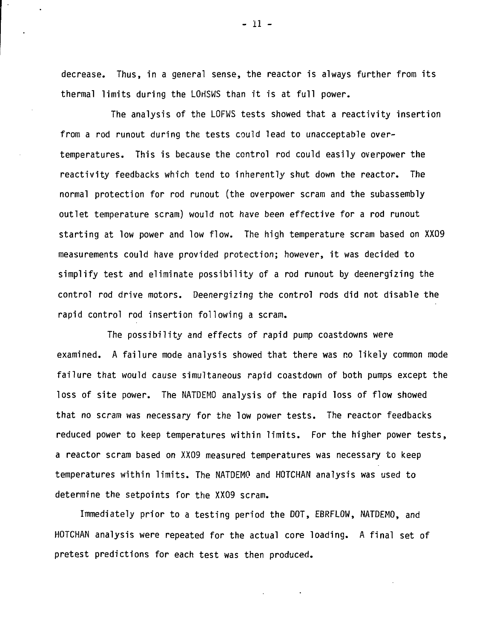decrease. Thus, in a general sense, the reactor is always further from its thermal limits during the LOHSWS than it is at full power.

The analysis of the LOFWS tests showed that a reactivity insertion from a rod runout during the tests could lead to unacceptable overtemperatures. This is because the control rod could easily overpower the reactivity feedbacks which tend to inherently shut down the reactor. The normal protection for rod runout (the overpower scram and the subassembly outlet temperature scram) would not have been effective for a rod runout starting at low power and low flow. The high temperature scram based on XX09 measurements could have provided protection; however, it was decided to simplify test and eliminate possibility of a rod runout by deenergizing the control rod drive motors. Deenergizing the control rods did not disable the rapid control rod insertion following a scram.

The possibility and effects of rapid pump coastdowns were examined. A failure mode analysis showed that there was no likely common mode failure that would cause simultaneous rapid coastdown of both pumps except the loss of site power. The NATDEMO analysis of the rapid loss of flow showed that no scram was necessary for the low power tests. The reactor feedbacks reduced power to keep temperatures within limits. For the higher power tests, a reactor scram based on XX09 measured temperatures was necessary to keep temperatures within limits. The NATDEMO and HOTCHAN analysis was used to determine the setpoints for the XX09 scram.

Immediately prior to a testing period the DOT, EBRFLOW, NATDEMO, and HOTCHAN analysis were repeated for the actual core loading. A final set of pretest predictions for each test was then produced.

- 11 -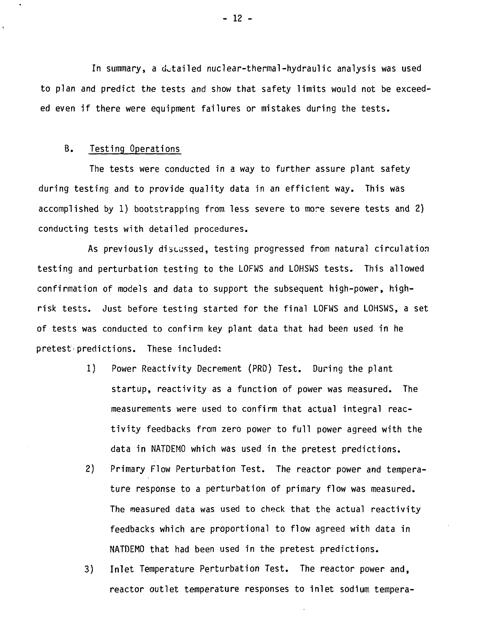In summary, a detailed nuclear-thermal-hydraulic analysis was used to plan and predict the tests and show that safety limits would not be exceeded even if there were equipment failures or mistakes during the tests.

## B. Testing Operations

The tests were conducted in a way to further assure plant safety during testing and to provide quality data in an efficient way. This was accomplished by 1) bootstrapping from less severe to more severe tests and 2) conducting tests with detailed procedures.

As previously discussed, testing progressed from natural circulation testing and perturbation testing to the LOFWS and LOHSWS tests. This allowed confirmation of models and data to support the subsequent high-power, highrisk tests. Just before testing started for the final LOFWS and LOHSWS, a set of tests was conducted to confirm key plant data that had been used in he pretest predictions. These included:

- 1) Power Reactivity Decrement (PRD) Test. During the plant startup, reactivity as a function of power was measured. The measurements were used to confirm that actual integral reactivity feedbacks from zero power to full power agreed with the data in NATDEMO which was used in the pretest predictions.
- 2) Primary Flow Perturbation Test. The reactor power and temperature response to a perturbation of primary flow was measured. The measured data was used to check that the actual reactivity feedbacks which are proportional to flow agreed with data in NATDEMO that had been used in the pretest predictions.
- 3) Inlet Temperature Perturbation Test. The reactor power and, reactor outlet temperature responses to inlet sodium tempera-

- 12 -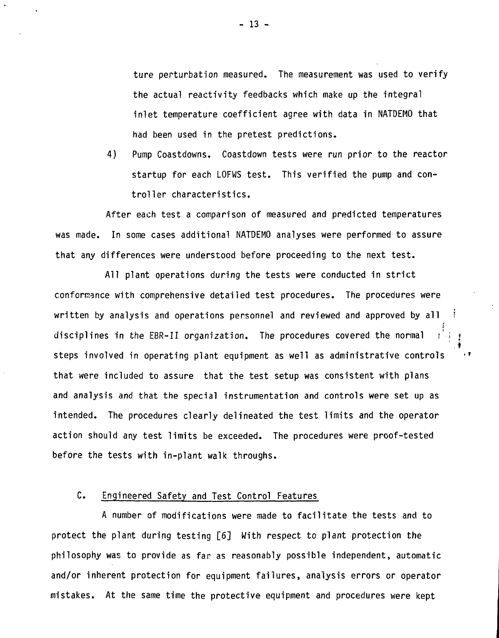ture perturbation measured. The measurement was used to verify the actual reactivity feedbacks which make up the integral inlet temperature coefficient agree with data in NATDEMO that had been used in the pretest predictions.

4) Pump Coastdowns. Coastdown tests were run prior to the reactor startup for each LOFWS test. This verified the pump and controller characteristics.

After each test a comparison of measured and predicted temperatures was made. In some cases additional NATDEMO analyses were performed to assure that any differences were understood before proceeding to the next test.

All plant operations during the tests were conducted in strict conformance with comprehensive detailed test procedures. The procedures were written by analysis and operations personnel and reviewed and approved by all  $\pm$ i disciplines in the EBR-II organization. The procedures covered the normal steps involved in operating plant equipment as well as administrative controls that were included to assure that the test setup was consistent with plans and analysis and that the special instrumentation and controls were set up as intended. The procedures clearly delineated the test limits and the operator action should any test limits be exceeded. The procedures were proof-tested before the tests with in-plant walk throughs.

# C. Engineered Safety and Test Control Features

A number of modifications were made to facilitate the tests and to protect the plant during testing [6] With respect to plant protection the philosophy was to provide as far as reasonably possible independent, automatic and/or inherent protection for equipment failures, analysis errors or operator mistakes. At the same time the protective equipment and procedures were kept

- 13 -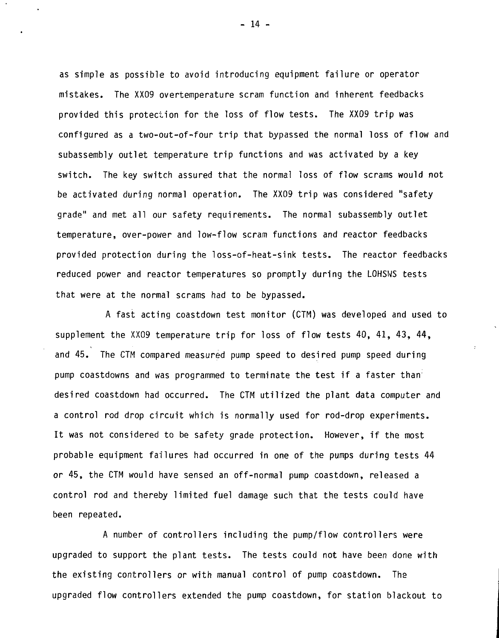as simple as possible to avoid introducing equipment failure or operator mistakes. The XX09 overtemperature scram function and inherent feedbacks provided this protection for the loss of flow tests. The XX09 trip was configured as a two-out-of-four trip that bypassed the normal loss of flow and subassembly outlet temperature trip functions and was activated by a key switch. The key switch assured that the normal loss of flow scrams would not be activated during normal operation. The XX09 trip was considered "safety grade" and met all our safety requirements. The normal subassembly outlet temperature, over-power and low-flow scram functions and reactor feedbacks provided protection during the loss-of-heat-sink tests. The reactor feedbacks reduced power and reactor temperatures so promptly during the LOHSWS tests that were at the normal scrams had to be bypassed.

A fast acting coastdown test monitor (CTM) was developed and used to supplement the XX09 temperature trip for loss of flow tests 40, 41, 43, 44, and 45. The CTM compared measured pump speed to desired pump speed during pump coastdowns and was programmed to terminate the test if a faster than desired coastdown had occurred. The CTM utilized the plant data computer and a control rod drop circuit which is normally used for rod-drop experiments. It was not considered to be safety grade protection. However, if the most probable equipment failures had occurred in one of the pumps during tests 44 or 45, the CTM would have sensed an off-normal pump coastdown, released a control rod and thereby limited fuel damage such that the tests could have been repeated.

A number of controllers including the pump/flow controllers were upgraded to support the plant tests. The tests could not have been done with the existing controllers or with manual control of pump coastdown. The upgraded flow controllers extended the pump coastdown, for station blackout to

 $-14$   $-$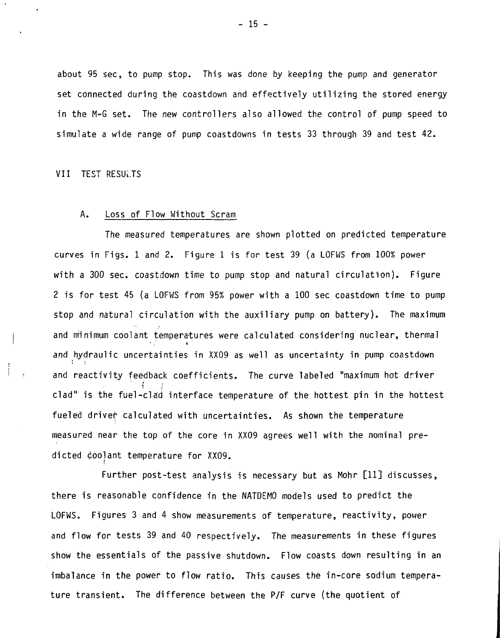about 95 sec, to pump stop. This was done by keeping the pump and generator set connected during the coastdown and effectively utilizing the stored energy in the M-G set. The new controllers also allowed the control of pump speed to simulate a wide range of pump coastdowns in tests 33 through 39 and test 42.

VII TEST RESULTS

 $\cdot$ 

#### A. Loss of Flow Without Scram

The measured temperatures are shown plotted on predicted temperature curves in Figs. 1 and 2. Figure 1 is for test 39 (a LOFWS from 100% power with a 300 sec. coastdown time to pump stop and natural circulation). Figure 2 is for test 45 (a LOFWS from 95% power with a 100 sec coastdown time to pump stop and natural circulation with the auxiliary pump on battery). The maximum and minimum coolant temperatures were calculated considering nuclear, thermal and hydraulic uncertainties in XX09 as well as uncertainty in pump coastdown and reactivity feedback coefficients. The curve labeled "maximum hot driver clad" is the fuel-clad interface temperature of the hottest pin in the hottest fueled driver calculated with uncertainties. As shown the temperature measured near the top of the core in XX09 agrees well with the nominal predicted eoolant temperature for XX09.

Further post-test analysis is necessary but as Mohr [11] discusses, there is reasonable confidence in the NATDEMO models used to predict the LOFWS. Figures 3 and 4 show measurements of temperature, reactivity, power and flow for tests 39 and 40 respectively. The measurements in these figures show the essentials of the passive shutdown. Flow coasts down resulting in an imbalance in the power to flow ratio. This causes the in-core sodium temperature transient. The difference between the P/F curve (the quotient of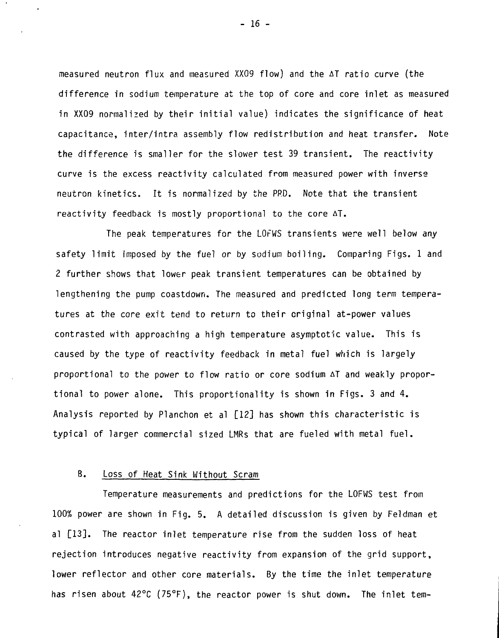measured neutron flux and measured XX09 flow) and the AT ratio curve (the difference in sodium temperature at the top of core and core inlet as measured in XX09 normalized by their initial value) indicates the significance of heat capacitance, inter/intra assembly flow redistribution and heat transfer. Note the difference is smaller for the slower test 39 transient. The reactivity curve is the excess reactivity calculated from measured power with inverse neutron kinetics. It is normalized by the PRD. Note that the transient reactivity feedback is mostly proportional to the core AT.

The peak temperatures for the LOFWS transients were well below any safety limit imposed by the fuel or by sodium boiling. Comparing Figs. 1 and 2 further shows that lower peak transient temperatures can be obtained by lengthening the pump coastdown. The measured and predicted long term temperatures at the core exit tend to return to their original at-power values contrasted with approaching a high temperature asymptotic value. This is caused by the type of reactivity feedback in metal fuel which is largely proportional to the power to flow ratio or core sodium AT and weakly proportional to power alone. This proportionality is shown in Figs. 3 and 4. Analysis reported by Planchon et al [12] has shown this characteristic is typical of larger commercial sized LMRs that are fueled with metal fuel.

# B. Loss of Heat Sink Without Scram

Temperature measurements and predictions for the LOFWS test from 100% power are shown in Fig. 5. A detailed discussion is given by Feldman et al [13]. The reactor inlet temperature rise from the sudden loss of heat rejection introduces negative reactivity from expansion of the grid support, lower reflector and other core materials. By the time the inlet temperature has risen about  $42^{\circ}$ C (75°F), the reactor power is shut down. The inlet tem-

- 16 -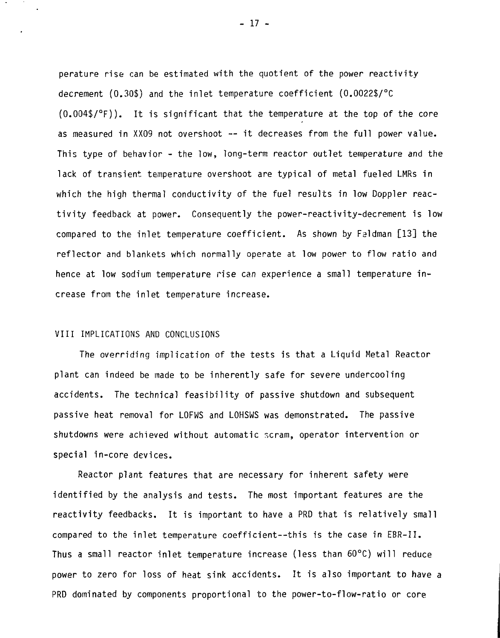perature rise can be estimated with the quotient of the power reactivity decrement (0.30\$) and the inlet temperature coefficient (0.0022\$/°C (0.004\$/°F)). It is significant that the temperature at the top of the core as measured in XX09 not overshoot — it decreases from the full power value. This type of behavior - the low, long-term reactor outlet temperature and the lack of transient temperature overshoot are typical of metal fueled LMRs in which the high thermal conductivity of the fuel results in low Doppler reactivity feedback at power. Consequently the power-reactivity-decrement is low compared to the inlet temperature coefficient. As shown by Faldman [13] the reflector and blankets which normally operate at low power to flow ratio and hence at low sodium temperature rise can experience a small temperature increase from the inlet temperature increase.

#### VIII IMPLICATIONS AND CONCLUSIONS

The overriding implication of the tests is that a Liquid Metal Reactor plant can indeed be made to be inherently safe for severe undercooling accidents. The technical feasibility of passive shutdown and subsequent passive heat removal for LOFWS and LOHSWS was demonstrated. The passive shutdowns were achieved without automatic scram, operator intervention or special in-core devices.

Reactor plant features that are necessary for inherent safety were identified by the analysis and tests. The most important features are the reactivity feedbacks. It is important to have a PRD that is relatively small compared to the inlet temperature coefficient—this is the case in EBR-II. Thus a small reactor inlet temperature increase (less than 60°C) will reduce power to zero for loss of heat sink accidents. It is also important to have a PRD dominated by components proportional to the power-to-flow-ratio or core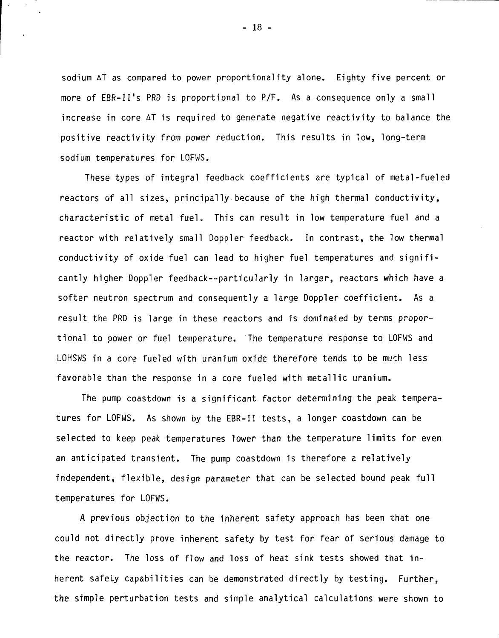sodium AT as compared to power proportionality alone. Eighty five percent or more of EBR-II's PRD is proportional to P/F. As a consequence only a small increase in core AT is required to generate negative reactivity to balance the positive reactivity from power reduction. This results in low, long-term sodium temperatures for LOFWS.

These types of integral feedback coefficients are typical of metal-fueled reactors of all sizes, principally because of the high thermal conductivity, characteristic of metal fuel, This can result in low temperature fuel and a reactor with relatively small Doppler feedback. In contrast, the low thermal conductivity of oxide fuel can lead to higher fuel temperatures and significantly higher Doppler feedback—particularly in largar, reactors which have a softer neutron spectrum and consequently a large Doppler coefficient. As a result the PRD is large in these reactors and is dominated by terms proportional to power or fuel temperature. The temperature response to LOFWS and LOHSWS in a core fueled with uranium oxide therefore tends to be much less favorable than the response in a core fueled with metallic uranium.

The pump coastdown is a significant factor determining the peak temperatures for LOFWS. As shown by the EBR-II tests, a longer coastdown can be selected to keep peak temperatures lower than the temperature limits for even an anticipated transient. The pump coastdown is therefore a relatively independent, flexible, design parameter that can be selected bound peak full temperatures for LOFWS.

A previous objection to the inherent safety approach has been that one could not directly prove inherent safety by test for fear of serious damage to the reactor. The loss of flow and loss of heat sink tests showed that inherent safety capabilities can be demonstrated directly by testing. Further, the simple perturbation tests and simple analytical calculations were shown to

- 18 -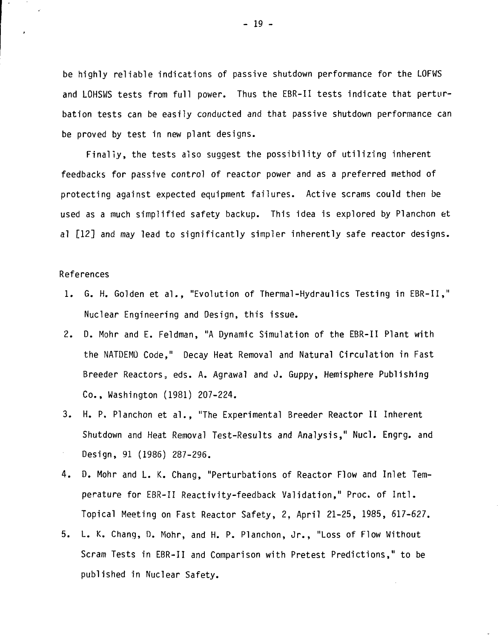be highly reliable indications of passive shutdown performance for the LOFWS and LOHSWS tests from full power. Thus the EBR-II tests indicate that perturbation tests can be easily conducted and that passive shutdown performance can be proved by test in new plant designs.

Finally, the tests also suggest the possibility of utilizing inherent feedbacks for passive control of reactor power and as a preferred method of protecting against expected equipment failures. Active scrams could then be used as a much simplified safety backup. This idea is explored by Planchon et al [12] and may lead to significantly simpler inherently safe reactor designs.

### References

- 1. G. H. Golden et al., "Evolution of Thermal-Hydraulics Testing in EBR-II," Nuclear Engineering and Design, this issue.
- 2. D. Mohr and E. Feldman, "A Dynamic Simulation of the EBR-II Plant with the NATDEMO Code," Decay Heat Removal and Natural Circulation in Fast Breeder Reactors, eds. A. Agrawal and J. Guppy, Hemisphere Publishing Co., Washington (1981) 207-224.
- 3. H. P. Planchon et al., "The Experimental Breeder Reactor II Inherent Shutdown and Heat Removal Test-Results and Analysis," Nucl. Engrg. and Design, 91 (1986) 287-296.
- 4. D. Mohr and L. K. Chang, "Perturbations of Reactor Flow and Inlet Temperature for EBR-II Reactivity-feedback Validation," Proc. of Intl. Topical Meeting on Fast Reactor Safety, 2, April 21-25, 1985, 617-627.
- 5. L. K. Chang, D. Mohr, and H. P. Planchon, Jr., "Loss of Flow Without Scram Tests in EBR-II and Comparison with Pretest Predictions," to be published in Nuclear Safety.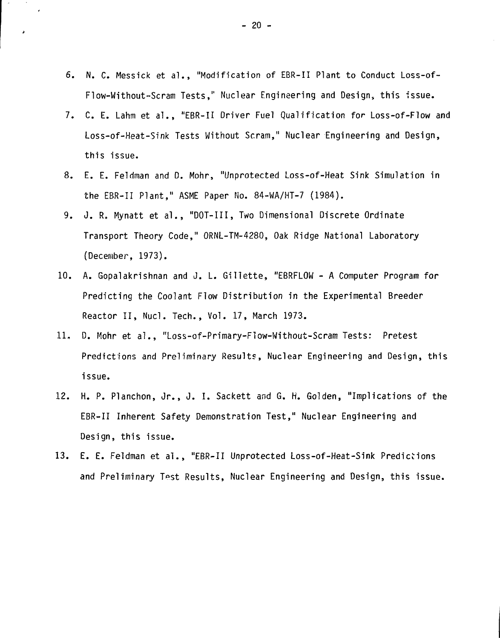- 6. N. C. Messick et al. , "Modification of EBR-II Plant to Conduct Loss-of-Flow-Without-Scram Tests," Nuclear Engineering and Design, this 'issue.
- 7. C. E. Lahm et al. , "EBR-II Driver Fuel Qualification for Loss-of-Flow and Loss-of-Heat-Sink Tests Without Scram," Nuclear Engineering and Design, this issue.
- 8. E. E. Feldman and D. Mohr, "Unprotected Loss-of-Heat Sink Simulation in the EBR-II Plant," ASME Paper No. 84-WA/HT-7 (1984).
- 9. J. R. Mynatt et al. , "DOT-III, Two Dimensional Discrete Ordinate Transport Theory Code," ORNL-TM-4280, Oak Ridge National Laboratory (December, 1973).
- 10. A. Gopalakrishnan and J. L. Gillette, "EBRFLOW A Computer Program for Predicting the Coolant Flow Distribution in the Experimental Breeder Reactor II, Nucl. Tech., Vol. 17, March 1973.
- 11. D. Mohr et al. , "Loss-of-Primary-Flow-Without-Scram Tests: Pretest Predictions and Preliminary Results, Nuclear Engineering and Design, this issue.
- 12. H. P. Planchon, Jr. , J. I. Sackett and G. H. Golden, "Implications of the EBR-II Inherent Safety Demonstration Test," Nuclear Engineering and Design, this issue.
- 13. E. E. Feldman et al. , "EBR-II Unprotected Loss-of-Heat-Sink Predictions and Preliminary Test Results, Nuclear Engineering and Design, this issue.